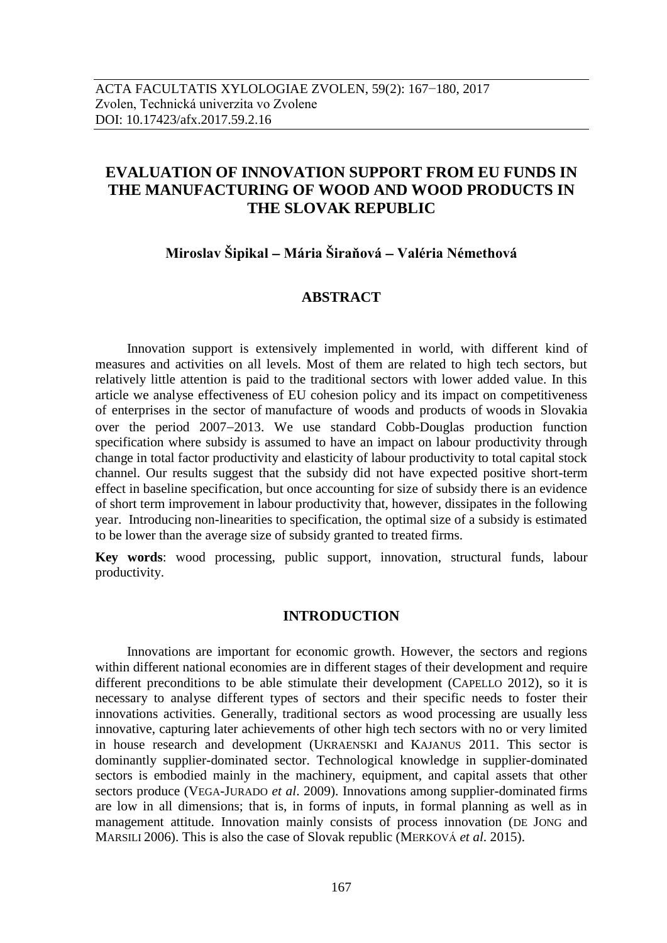# **EVALUATION OF INNOVATION SUPPORT FROM EU FUNDS IN THE MANUFACTURING OF WOOD AND WOOD PRODUCTS IN THE SLOVAK REPUBLIC**

# **Miroslav Šipikal Mária Širaňová Valéria Némethová**

## **ABSTRACT**

Innovation support is extensively implemented in world, with different kind of measures and activities on all levels. Most of them are related to high tech sectors, but relatively little attention is paid to the traditional sectors with lower added value. In this article we analyse effectiveness of EU cohesion policy and its impact on competitiveness of enterprises in the sector of manufacture of woods and products of woods in Slovakia over the period  $2007-2013$ . We use standard Cobb-Douglas production function specification where subsidy is assumed to have an impact on labour productivity through change in total factor productivity and elasticity of labour productivity to total capital stock channel. Our results suggest that the subsidy did not have expected positive short-term effect in baseline specification, but once accounting for size of subsidy there is an evidence of short term improvement in labour productivity that, however, dissipates in the following year. Introducing non-linearities to specification, the optimal size of a subsidy is estimated to be lower than the average size of subsidy granted to treated firms.

**Key words**: wood processing, public support, innovation, structural funds, labour productivity.

## **INTRODUCTION**

Innovations are important for economic growth. However, the sectors and regions within different national economies are in different stages of their development and require different preconditions to be able stimulate their development (CAPELLO 2012), so it is necessary to analyse different types of sectors and their specific needs to foster their innovations activities. Generally, traditional sectors as wood processing are usually less innovative, capturing later achievements of other high tech sectors with no or very limited in house research and development (UKRAENSKI and KAJANUS 2011. This sector is dominantly supplier-dominated sector. Technological knowledge in supplier-dominated sectors is embodied mainly in the machinery, equipment, and capital assets that other sectors produce (VEGA-JURADO *et al*. 2009). Innovations among supplier-dominated firms are low in all dimensions; that is, in forms of inputs, in formal planning as well as in management attitude. Innovation mainly consists of process innovation (DE JONG and MARSILI 2006). This is also the case of Slovak republic (MERKOVÁ *et al*. 2015).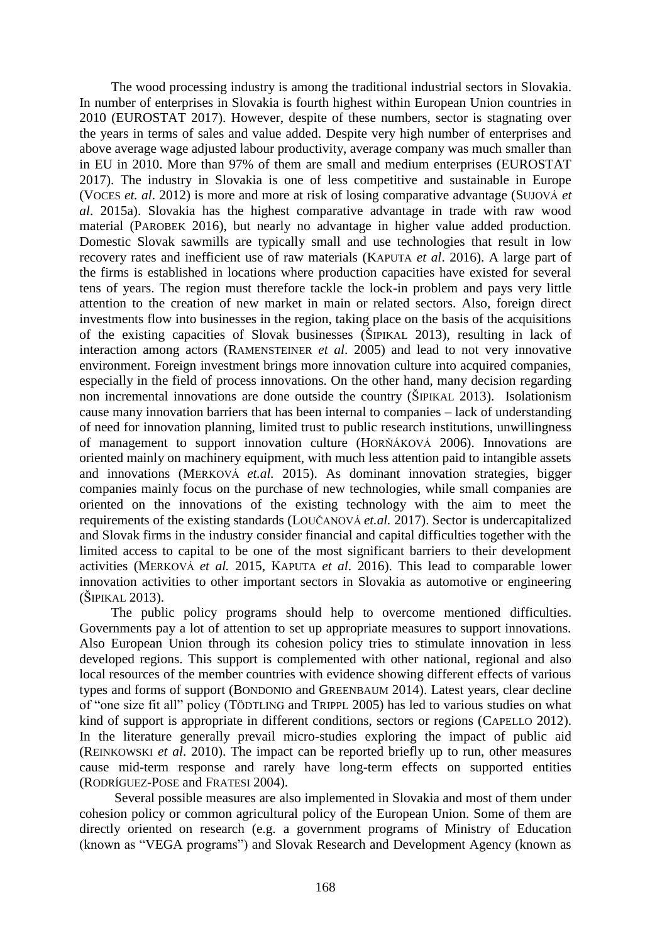The wood processing industry is among the traditional industrial sectors in Slovakia. In number of enterprises in Slovakia is fourth highest within European Union countries in 2010 (EUROSTAT 2017). However, despite of these numbers, sector is stagnating over the years in terms of sales and value added. Despite very high number of enterprises and above average wage adjusted labour productivity, average company was much smaller than in EU in 2010. More than 97% of them are small and medium enterprises (EUROSTAT 2017). The industry in Slovakia is one of less competitive and sustainable in Europe (VOCES *et. al*. 2012) is more and more at risk of losing comparative advantage (SUJOVÁ *et al*. 2015a). Slovakia has the highest comparative advantage in trade with raw wood material (PAROBEK 2016), but nearly no advantage in higher value added production. Domestic Slovak sawmills are typically small and use technologies that result in low recovery rates and inefficient use of raw materials (KAPUTA *et al*. 2016). A large part of the firms is established in locations where production capacities have existed for several tens of years. The region must therefore tackle the lock-in problem and pays very little attention to the creation of new market in main or related sectors. Also, foreign direct investments flow into businesses in the region, taking place on the basis of the acquisitions of the existing capacities of Slovak businesses (ŠIPIKAL 2013), resulting in lack of interaction among actors (RAMENSTEINER *et al*. 2005) and lead to not very innovative environment. Foreign investment brings more innovation culture into acquired companies, especially in the field of process innovations. On the other hand, many decision regarding non incremental innovations are done outside the country (ŠIPIKAL 2013). Isolationism cause many innovation barriers that has been internal to companies – lack of understanding of need for innovation planning, limited trust to public research institutions, unwillingness of management to support innovation culture (HORŇÁKOVÁ 2006). Innovations are oriented mainly on machinery equipment, with much less attention paid to intangible assets and innovations (MERKOVÁ *et.al.* 2015). As dominant innovation strategies, bigger companies mainly focus on the purchase of new technologies, while small companies are oriented on the innovations of the existing technology with the aim to meet the requirements of the existing standards (LOUČANOVÁ *et.al.* 2017). Sector is undercapitalized and Slovak firms in the industry consider financial and capital difficulties together with the limited access to capital to be one of the most significant barriers to their development activities (MERKOVÁ *et al.* 2015, KAPUTA *et al*. 2016). This lead to comparable lower innovation activities to other important sectors in Slovakia as automotive or engineering (ŠIPIKAL 2013).

The public policy programs should help to overcome mentioned difficulties. Governments pay a lot of attention to set up appropriate measures to support innovations. Also European Union through its cohesion policy tries to stimulate innovation in less developed regions. This support is complemented with other national, regional and also local resources of the member countries with evidence showing different effects of various types and forms of support (BONDONIO and GREENBAUM 2014). Latest years, clear decline of "one size fit all" policy (TÖDTLING and TRIPPL 2005) has led to various studies on what kind of support is appropriate in different conditions, sectors or regions (CAPELLO 2012). In the literature generally prevail micro-studies exploring the impact of public aid (REINKOWSKI *et al*. 2010). The impact can be reported briefly up to run, other measures cause mid-term response and rarely have long-term effects on supported entities (RODRÍGUEZ-POSE and FRATESI 2004).

Several possible measures are also implemented in Slovakia and most of them under cohesion policy or common agricultural policy of the European Union. Some of them are directly oriented on research (e.g. a government programs of Ministry of Education (known as "VEGA programs") and Slovak Research and Development Agency (known as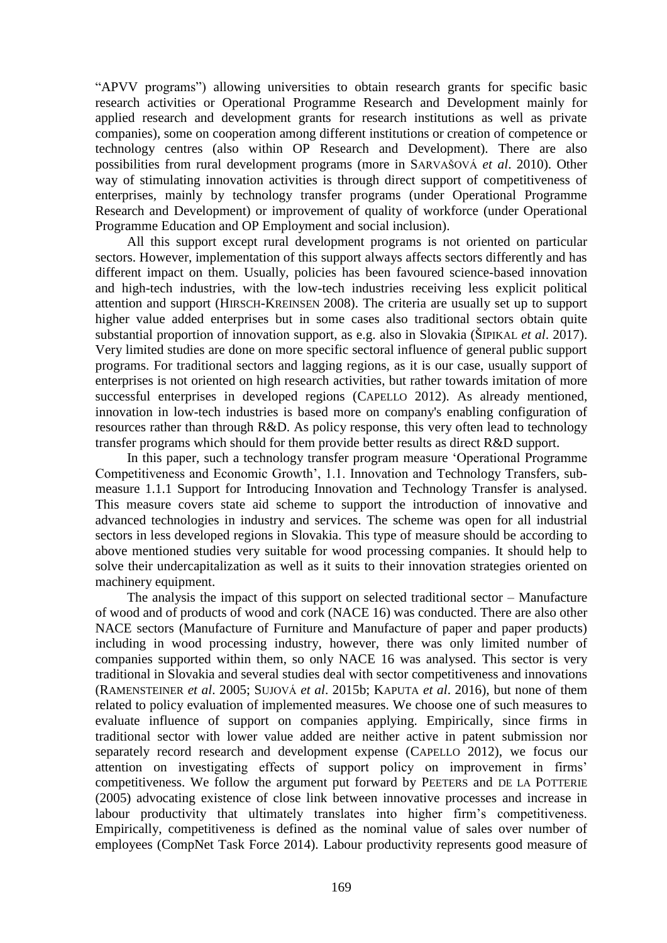"APVV programs") allowing universities to obtain research grants for specific basic research activities or Operational Programme Research and Development mainly for applied research and development grants for research institutions as well as private companies), some on cooperation among different institutions or creation of competence or technology centres (also within OP Research and Development). There are also possibilities from rural development programs (more in SARVAŠOVÁ *et al*. 2010). Other way of stimulating innovation activities is through direct support of competitiveness of enterprises, mainly by technology transfer programs (under Operational Programme Research and Development) or improvement of quality of workforce (under Operational Programme Education and OP Employment and social inclusion).

All this support except rural development programs is not oriented on particular sectors. However, implementation of this support always affects sectors differently and has different impact on them. Usually, policies has been favoured science-based innovation and high-tech industries, with the low-tech industries receiving less explicit political attention and support (HIRSCH-KREINSEN 2008). The criteria are usually set up to support higher value added enterprises but in some cases also traditional sectors obtain quite substantial proportion of innovation support, as e.g. also in Slovakia (ŠIPIKAL *et al*. 2017). Very limited studies are done on more specific sectoral influence of general public support programs. For traditional sectors and lagging regions, as it is our case, usually support of enterprises is not oriented on high research activities, but rather towards imitation of more successful enterprises in developed regions (CAPELLO 2012). As already mentioned, innovation in low-tech industries is based more on company's enabling configuration of resources rather than through R&D. As policy response, this very often lead to technology transfer programs which should for them provide better results as direct R&D support.

In this paper, such a technology transfer program measure 'Operational Programme Competitiveness and Economic Growth', 1.1. Innovation and Technology Transfers, submeasure 1.1.1 Support for Introducing Innovation and Technology Transfer is analysed. This measure covers state aid scheme to support the introduction of innovative and advanced technologies in industry and services. The scheme was open for all industrial sectors in less developed regions in Slovakia. This type of measure should be according to above mentioned studies very suitable for wood processing companies. It should help to solve their undercapitalization as well as it suits to their innovation strategies oriented on machinery equipment.

The analysis the impact of this support on selected traditional sector – Manufacture of wood and of products of wood and cork (NACE 16) was conducted. There are also other NACE sectors (Manufacture of Furniture and Manufacture of paper and paper products) including in wood processing industry, however, there was only limited number of companies supported within them, so only NACE 16 was analysed. This sector is very traditional in Slovakia and several studies deal with sector competitiveness and innovations (RAMENSTEINER *et al*. 2005; SUJOVÁ *et al*. 2015b; KAPUTA *et al*. 2016), but none of them related to policy evaluation of implemented measures. We choose one of such measures to evaluate influence of support on companies applying. Empirically, since firms in traditional sector with lower value added are neither active in patent submission nor separately record research and development expense (CAPELLO 2012), we focus our attention on investigating effects of support policy on improvement in firms' competitiveness. We follow the argument put forward by PEETERS and DE LA POTTERIE (2005) advocating existence of close link between innovative processes and increase in labour productivity that ultimately translates into higher firm's competitiveness. Empirically, competitiveness is defined as the nominal value of sales over number of employees (CompNet Task Force 2014). Labour productivity represents good measure of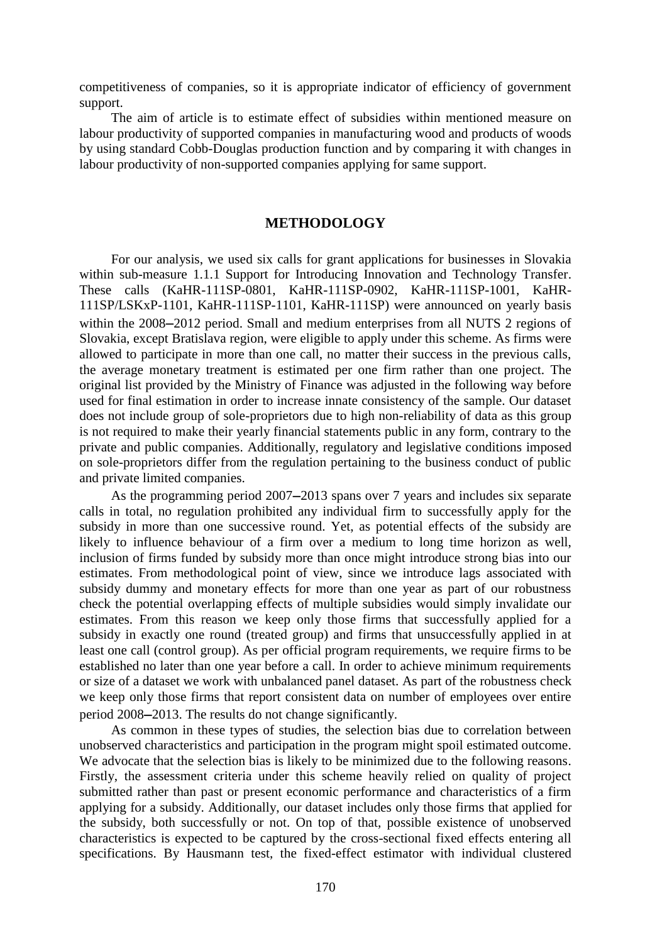competitiveness of companies, so it is appropriate indicator of efficiency of government support.

The aim of article is to estimate effect of subsidies within mentioned measure on labour productivity of supported companies in manufacturing wood and products of woods by using standard Cobb-Douglas production function and by comparing it with changes in labour productivity of non-supported companies applying for same support.

#### **METHODOLOGY**

For our analysis, we used six calls for grant applications for businesses in Slovakia within sub-measure 1.1.1 Support for Introducing Innovation and Technology Transfer. These calls (KaHR-111SP-0801, KaHR-111SP-0902, KaHR-111SP-1001, KaHR-111SP/LSKxP-1101, KaHR-111SP-1101, KaHR-111SP) were announced on yearly basis within the 2008–2012 period. Small and medium enterprises from all NUTS 2 regions of Slovakia, except Bratislava region, were eligible to apply under this scheme. As firms were allowed to participate in more than one call, no matter their success in the previous calls, the average monetary treatment is estimated per one firm rather than one project. The original list provided by the Ministry of Finance was adjusted in the following way before used for final estimation in order to increase innate consistency of the sample. Our dataset does not include group of sole-proprietors due to high non-reliability of data as this group is not required to make their yearly financial statements public in any form, contrary to the private and public companies. Additionally, regulatory and legislative conditions imposed on sole-proprietors differ from the regulation pertaining to the business conduct of public and private limited companies.

As the programming period 2007–2013 spans over 7 years and includes six separate calls in total, no regulation prohibited any individual firm to successfully apply for the subsidy in more than one successive round. Yet, as potential effects of the subsidy are likely to influence behaviour of a firm over a medium to long time horizon as well, inclusion of firms funded by subsidy more than once might introduce strong bias into our estimates. From methodological point of view, since we introduce lags associated with subsidy dummy and monetary effects for more than one year as part of our robustness check the potential overlapping effects of multiple subsidies would simply invalidate our estimates. From this reason we keep only those firms that successfully applied for a subsidy in exactly one round (treated group) and firms that unsuccessfully applied in at least one call (control group). As per official program requirements, we require firms to be established no later than one year before a call. In order to achieve minimum requirements or size of a dataset we work with unbalanced panel dataset. As part of the robustness check we keep only those firms that report consistent data on number of employees over entire period 2008–2013. The results do not change significantly.

As common in these types of studies, the selection bias due to correlation between unobserved characteristics and participation in the program might spoil estimated outcome. We advocate that the selection bias is likely to be minimized due to the following reasons. Firstly, the assessment criteria under this scheme heavily relied on quality of project submitted rather than past or present economic performance and characteristics of a firm applying for a subsidy. Additionally, our dataset includes only those firms that applied for the subsidy, both successfully or not. On top of that, possible existence of unobserved characteristics is expected to be captured by the cross-sectional fixed effects entering all specifications. By Hausmann test, the fixed-effect estimator with individual clustered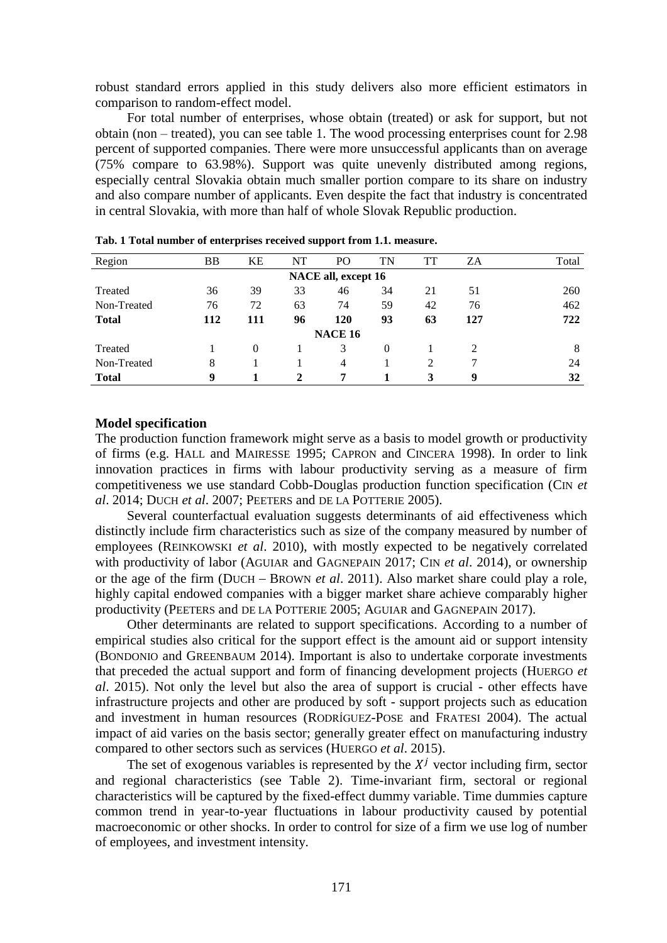robust standard errors applied in this study delivers also more efficient estimators in comparison to random-effect model.

For total number of enterprises, whose obtain (treated) or ask for support, but not obtain (non – treated), you can see table 1. The wood processing enterprises count for 2.98 percent of supported companies. There were more unsuccessful applicants than on average (75% compare to 63.98%). Support was quite unevenly distributed among regions, especially central Slovakia obtain much smaller portion compare to its share on industry and also compare number of applicants. Even despite the fact that industry is concentrated in central Slovakia, with more than half of whole Slovak Republic production.

| Region         | <b>BB</b> | KE       | NT | PО                  | TN       | TT | ZΑ  | Total |
|----------------|-----------|----------|----|---------------------|----------|----|-----|-------|
|                |           |          |    | NACE all, except 16 |          |    |     |       |
| Treated        | 36        | 39       | 33 | 46                  | 34       | 21 | 51  | 260   |
| Non-Treated    | 76        | 72       | 63 | 74                  | 59       | 42 | 76  | 462   |
| <b>Total</b>   | 112       | 111      | 96 | 120                 | 93       | 63 | 127 | 722   |
| <b>NACE 16</b> |           |          |    |                     |          |    |     |       |
| Treated        |           | $\Omega$ |    | 3                   | $\Omega$ |    | 2   | 8     |
| Non-Treated    | 8         |          |    | 4                   |          | 2  |     | 24    |
| <b>Total</b>   | 9         |          | 2  | 7                   |          | 3  | 9   | 32    |

**Tab. 1 Total number of enterprises received support from 1.1. measure.**

#### **Model specification**

The production function framework might serve as a basis to model growth or productivity of firms (e.g. HALL and MAIRESSE 1995; CAPRON and CINCERA 1998). In order to link innovation practices in firms with labour productivity serving as a measure of firm competitiveness we use standard Cobb-Douglas production function specification (CIN *et al*. 2014; DUCH *et al*. 2007; PEETERS and DE LA POTTERIE 2005).

Several counterfactual evaluation suggests determinants of aid effectiveness which distinctly include firm characteristics such as size of the company measured by number of employees (REINKOWSKI *et al*. 2010), with mostly expected to be negatively correlated with productivity of labor (AGUIAR and GAGNEPAIN 2017; CIN *et al*. 2014), or ownership or the age of the firm (DUCH – BROWN *et al.* 2011). Also market share could play a role, highly capital endowed companies with a bigger market share achieve comparably higher productivity (PEETERS and DE LA POTTERIE 2005; AGUIAR and GAGNEPAIN 2017).

Other determinants are related to support specifications. According to a number of empirical studies also critical for the support effect is the amount aid or support intensity (BONDONIO and GREENBAUM 2014). Important is also to undertake corporate investments that preceded the actual support and form of financing development projects (HUERGO *et al*. 2015). Not only the level but also the area of support is crucial - other effects have infrastructure projects and other are produced by soft - support projects such as education and investment in human resources (RODRÍGUEZ-POSE and FRATESI 2004). The actual impact of aid varies on the basis sector; generally greater effect on manufacturing industry compared to other sectors such as services (HUERGO *et al*. 2015).

The set of exogenous variables is represented by the  $X<sup>j</sup>$  vector including firm, sector and regional characteristics (see Table 2). Time-invariant firm, sectoral or regional characteristics will be captured by the fixed-effect dummy variable. Time dummies capture common trend in year-to-year fluctuations in labour productivity caused by potential macroeconomic or other shocks. In order to control for size of a firm we use log of number of employees, and investment intensity.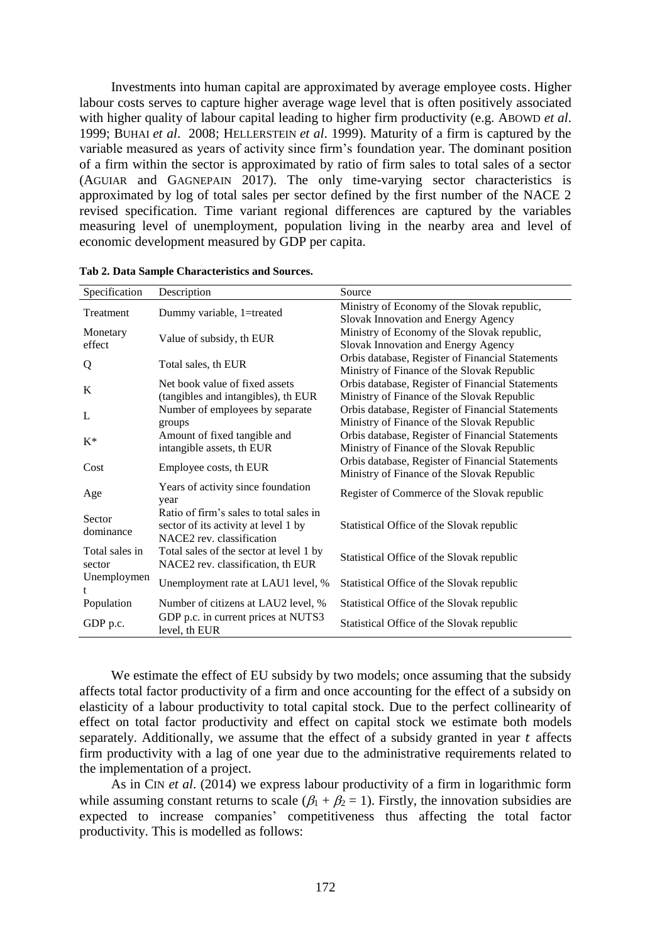Investments into human capital are approximated by average employee costs. Higher labour costs serves to capture higher average wage level that is often positively associated with higher quality of labour capital leading to higher firm productivity (e.g. ABOWD *et al*. 1999; BUHAI *et al*. 2008; HELLERSTEIN *et al*. 1999). Maturity of a firm is captured by the variable measured as years of activity since firm's foundation year. The dominant position of a firm within the sector is approximated by ratio of firm sales to total sales of a sector (AGUIAR and GAGNEPAIN 2017). The only time-varying sector characteristics is approximated by log of total sales per sector defined by the first number of the NACE 2 revised specification. Time variant regional differences are captured by the variables measuring level of unemployment, population living in the nearby area and level of economic development measured by GDP per capita.

| Specification            | Description                                                                                                  | Source                                                                                         |
|--------------------------|--------------------------------------------------------------------------------------------------------------|------------------------------------------------------------------------------------------------|
| Treatment                | Dummy variable, 1=treated                                                                                    | Ministry of Economy of the Slovak republic,<br>Slovak Innovation and Energy Agency             |
| Monetary<br>effect       | Value of subsidy, th EUR                                                                                     | Ministry of Economy of the Slovak republic,<br>Slovak Innovation and Energy Agency             |
| Q                        | Total sales, th EUR                                                                                          | Orbis database, Register of Financial Statements<br>Ministry of Finance of the Slovak Republic |
| K                        | Net book value of fixed assets<br>(tangibles and intangibles), th EUR                                        | Orbis database, Register of Financial Statements<br>Ministry of Finance of the Slovak Republic |
| L                        | Number of employees by separate<br>groups                                                                    | Orbis database, Register of Financial Statements<br>Ministry of Finance of the Slovak Republic |
| $K^*$                    | Amount of fixed tangible and<br>intangible assets, th EUR                                                    | Orbis database, Register of Financial Statements<br>Ministry of Finance of the Slovak Republic |
| Cost                     | Employee costs, th EUR                                                                                       | Orbis database, Register of Financial Statements<br>Ministry of Finance of the Slovak Republic |
| Age                      | Years of activity since foundation<br>year                                                                   | Register of Commerce of the Slovak republic                                                    |
| Sector<br>dominance      | Ratio of firm's sales to total sales in<br>sector of its activity at level 1 by<br>NACE2 rev. classification | Statistical Office of the Slovak republic                                                      |
| Total sales in<br>sector | Total sales of the sector at level 1 by<br>NACE2 rev. classification, th EUR                                 | Statistical Office of the Slovak republic                                                      |
| Unemploymen              | Unemployment rate at LAU1 level, %                                                                           | Statistical Office of the Slovak republic                                                      |
| Population               | Number of citizens at LAU2 level, %                                                                          | Statistical Office of the Slovak republic                                                      |
| GDP p.c.                 | GDP p.c. in current prices at NUTS3<br>level, th EUR                                                         | Statistical Office of the Slovak republic                                                      |

**Tab 2. Data Sample Characteristics and Sources.**

We estimate the effect of EU subsidy by two models; once assuming that the subsidy affects total factor productivity of a firm and once accounting for the effect of a subsidy on elasticity of a labour productivity to total capital stock. Due to the perfect collinearity of effect on total factor productivity and effect on capital stock we estimate both models separately. Additionally, we assume that the effect of a subsidy granted in year  $t$  affects firm productivity with a lag of one year due to the administrative requirements related to the implementation of a project.

As in CIN *et al*. (2014) we express labour productivity of a firm in logarithmic form while assuming constant returns to scale  $(\beta_1 + \beta_2 = 1)$ . Firstly, the innovation subsidies are expected to increase companies' competitiveness thus affecting the total factor productivity. This is modelled as follows: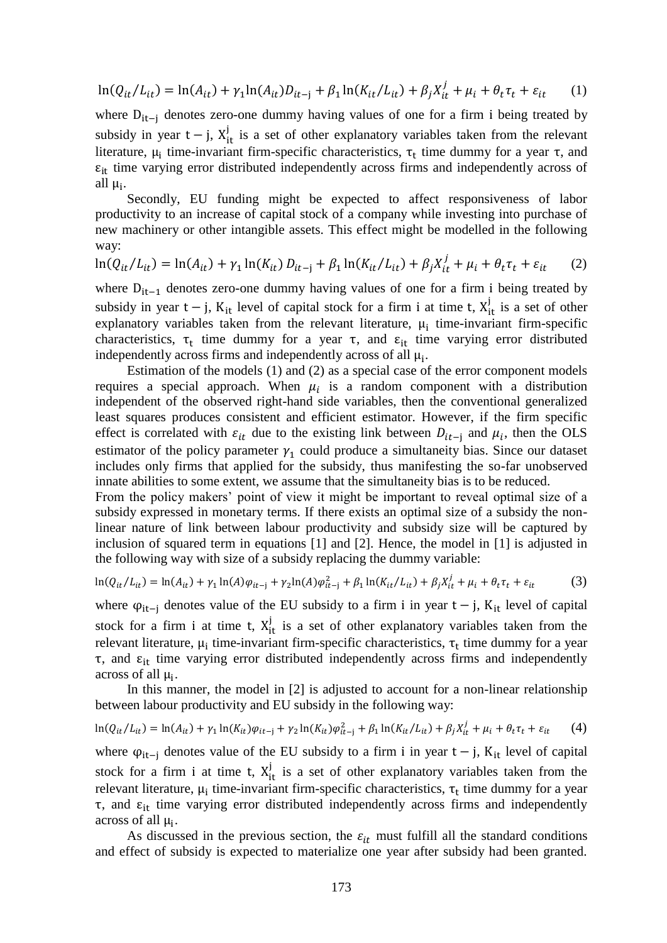$$
\ln(Q_{it}/L_{it}) = \ln(A_{it}) + \gamma_1 \ln(A_{it}) D_{it-j} + \beta_1 \ln(K_{it}/L_{it}) + \beta_j X_{it}^j + \mu_i + \theta_t \tau_t + \varepsilon_{it} \tag{1}
$$

where  $D_{it-i}$  denotes zero-one dummy having values of one for a firm i being treated by subsidy in year  $t - j$ ,  $X_{it}^{j}$  is a set of other explanatory variables taken from the relevant literature,  $\mu_i$  time-invariant firm-specific characteristics,  $\tau_t$  time dummy for a year  $\tau$ , and  $\varepsilon_{it}$  time varying error distributed independently across firms and independently across of all  $\mu_i$ .

Secondly, EU funding might be expected to affect responsiveness of labor productivity to an increase of capital stock of a company while investing into purchase of new machinery or other intangible assets. This effect might be modelled in the following way:

$$
\ln(Q_{it}/L_{it}) = \ln(A_{it}) + \gamma_1 \ln(K_{it}) D_{it-j} + \beta_1 \ln(K_{it}/L_{it}) + \beta_j X_{it}^j + \mu_i + \theta_t \tau_t + \varepsilon_{it} \tag{2}
$$

where  $D_{it-1}$  denotes zero-one dummy having values of one for a firm i being treated by subsidy in year t – j,  $K_{it}$  level of capital stock for a firm i at time t,  $X_{it}^{j}$  is a set of other explanatory variables taken from the relevant literature,  $\mu_i$  time-invariant firm-specific characteristics,  $\tau_t$  time dummy for a year  $\tau$ , and  $\varepsilon_{it}$  time varying error distributed independently across firms and independently across of all  $\mu_i$ .

Estimation of the models (1) and (2) as a special case of the error component models requires a special approach. When  $\mu_i$  is a random component with a distribution independent of the observed right-hand side variables, then the conventional generalized least squares produces consistent and efficient estimator. However, if the firm specific effect is correlated with  $\varepsilon_{it}$  due to the existing link between  $D_{it-j}$  and  $\mu_i$ , then the OLS estimator of the policy parameter  $\gamma_1$  could produce a simultaneity bias. Since our dataset includes only firms that applied for the subsidy, thus manifesting the so-far unobserved innate abilities to some extent, we assume that the simultaneity bias is to be reduced.

From the policy makers' point of view it might be important to reveal optimal size of a subsidy expressed in monetary terms. If there exists an optimal size of a subsidy the nonlinear nature of link between labour productivity and subsidy size will be captured by inclusion of squared term in equations [1] and [2]. Hence, the model in [1] is adjusted in the following way with size of a subsidy replacing the dummy variable:

$$
\ln(Q_{it}/L_{it}) = \ln(A_{it}) + \gamma_1 \ln(A)\varphi_{it-j} + \gamma_2 \ln(A)\varphi_{it-j}^2 + \beta_1 \ln(K_{it}/L_{it}) + \beta_j X_{it}^j + \mu_i + \theta_t \tau_t + \varepsilon_{it}
$$
(3)

where  $\varphi_{it-i}$  denotes value of the EU subsidy to a firm i in year t – j, K<sub>it</sub> level of capital stock for a firm i at time t,  $X_{it}^{j}$  is a set of other explanatory variables taken from the relevant literature,  $\mu_i$  time-invariant firm-specific characteristics,  $\tau_t$  time dummy for a year  $\tau$ , and  $\varepsilon$ <sub>it</sub> time varying error distributed independently across firms and independently across of all μ<sub>i</sub>.

In this manner, the model in [2] is adjusted to account for a non-linear relationship between labour productivity and EU subsidy in the following way:

$$
\ln(Q_{it}/L_{it}) = \ln(A_{it}) + \gamma_1 \ln(K_{it})\varphi_{it-j} + \gamma_2 \ln(K_{it})\varphi_{it-j}^2 + \beta_1 \ln(K_{it}/L_{it}) + \beta_j X_{it}^j + \mu_i + \theta_t \tau_t + \varepsilon_{it} \tag{4}
$$

where  $\varphi_{it-i}$  denotes value of the EU subsidy to a firm i in year t – j, K<sub>it</sub> level of capital stock for a firm i at time t,  $X_{it}^{j}$  is a set of other explanatory variables taken from the relevant literature,  $\mu_i$  time-invariant firm-specific characteristics,  $\tau_t$  time dummy for a year τ, and  $\varepsilon_{it}$  time varying error distributed independently across firms and independently across of all μ<sub>i</sub>.

As discussed in the previous section, the  $\varepsilon_{it}$  must fulfill all the standard conditions and effect of subsidy is expected to materialize one year after subsidy had been granted.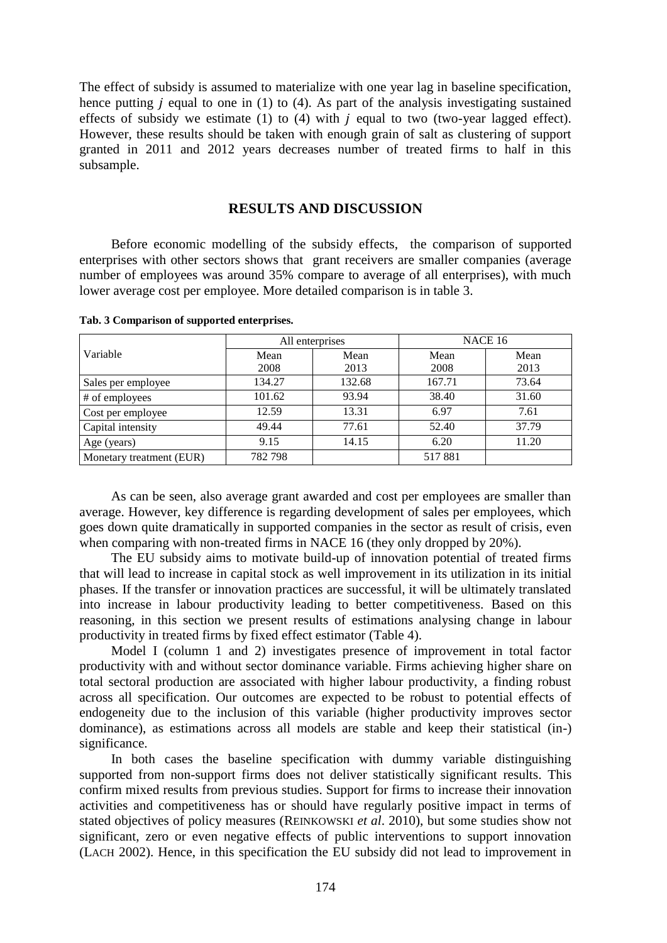The effect of subsidy is assumed to materialize with one year lag in baseline specification, hence putting  $j$  equal to one in (1) to (4). As part of the analysis investigating sustained effects of subsidy we estimate (1) to (4) with  $j$  equal to two (two-year lagged effect). However, these results should be taken with enough grain of salt as clustering of support granted in 2011 and 2012 years decreases number of treated firms to half in this subsample.

#### **RESULTS AND DISCUSSION**

Before economic modelling of the subsidy effects, the comparison of supported enterprises with other sectors shows that grant receivers are smaller companies (average number of employees was around 35% compare to average of all enterprises), with much lower average cost per employee. More detailed comparison is in table 3.

|                          |         | All enterprises | NACE 16 |       |  |  |
|--------------------------|---------|-----------------|---------|-------|--|--|
| Variable                 | Mean    | Mean            | Mean    | Mean  |  |  |
|                          | 2008    | 2013            | 2008    | 2013  |  |  |
| Sales per employee       | 134.27  | 132.68          | 167.71  | 73.64 |  |  |
| # of employees           | 101.62  | 93.94           | 38.40   | 31.60 |  |  |
| Cost per employee        | 12.59   | 13.31           | 6.97    | 7.61  |  |  |
| Capital intensity        | 49.44   | 77.61           | 52.40   | 37.79 |  |  |
| Age (years)              | 9.15    | 14.15           | 6.20    | 11.20 |  |  |
| Monetary treatment (EUR) | 782 798 |                 | 517881  |       |  |  |

**Tab. 3 Comparison of supported enterprises.**

As can be seen, also average grant awarded and cost per employees are smaller than average. However, key difference is regarding development of sales per employees, which goes down quite dramatically in supported companies in the sector as result of crisis, even when comparing with non-treated firms in NACE 16 (they only dropped by 20%).

The EU subsidy aims to motivate build-up of innovation potential of treated firms that will lead to increase in capital stock as well improvement in its utilization in its initial phases. If the transfer or innovation practices are successful, it will be ultimately translated into increase in labour productivity leading to better competitiveness. Based on this reasoning, in this section we present results of estimations analysing change in labour productivity in treated firms by fixed effect estimator (Table 4).

Model I (column 1 and 2) investigates presence of improvement in total factor productivity with and without sector dominance variable. Firms achieving higher share on total sectoral production are associated with higher labour productivity, a finding robust across all specification. Our outcomes are expected to be robust to potential effects of endogeneity due to the inclusion of this variable (higher productivity improves sector dominance), as estimations across all models are stable and keep their statistical (in-) significance.

In both cases the baseline specification with dummy variable distinguishing supported from non-support firms does not deliver statistically significant results. This confirm mixed results from previous studies. Support for firms to increase their innovation activities and competitiveness has or should have regularly positive impact in terms of stated objectives of policy measures (REINKOWSKI *et al*. 2010), but some studies show not significant, zero or even negative effects of public interventions to support innovation (LACH 2002). Hence, in this specification the EU subsidy did not lead to improvement in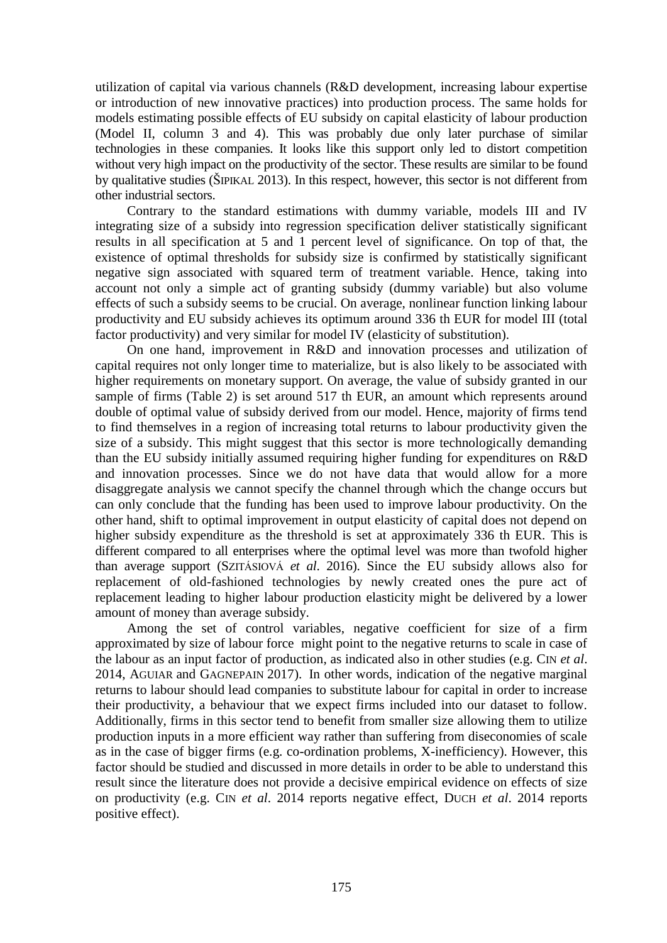utilization of capital via various channels (R&D development, increasing labour expertise or introduction of new innovative practices) into production process. The same holds for models estimating possible effects of EU subsidy on capital elasticity of labour production (Model II, column 3 and 4). This was probably due only later purchase of similar technologies in these companies. It looks like this support only led to distort competition without very high impact on the productivity of the sector. These results are similar to be found by qualitative studies (ŠIPIKAL 2013). In this respect, however, this sector is not different from other industrial sectors.

Contrary to the standard estimations with dummy variable, models III and IV integrating size of a subsidy into regression specification deliver statistically significant results in all specification at 5 and 1 percent level of significance. On top of that, the existence of optimal thresholds for subsidy size is confirmed by statistically significant negative sign associated with squared term of treatment variable. Hence, taking into account not only a simple act of granting subsidy (dummy variable) but also volume effects of such a subsidy seems to be crucial. On average, nonlinear function linking labour productivity and EU subsidy achieves its optimum around 336 th EUR for model III (total factor productivity) and very similar for model IV (elasticity of substitution).

On one hand, improvement in R&D and innovation processes and utilization of capital requires not only longer time to materialize, but is also likely to be associated with higher requirements on monetary support. On average, the value of subsidy granted in our sample of firms (Table 2) is set around 517 th EUR, an amount which represents around double of optimal value of subsidy derived from our model. Hence, majority of firms tend to find themselves in a region of increasing total returns to labour productivity given the size of a subsidy. This might suggest that this sector is more technologically demanding than the EU subsidy initially assumed requiring higher funding for expenditures on R&D and innovation processes. Since we do not have data that would allow for a more disaggregate analysis we cannot specify the channel through which the change occurs but can only conclude that the funding has been used to improve labour productivity. On the other hand, shift to optimal improvement in output elasticity of capital does not depend on higher subsidy expenditure as the threshold is set at approximately 336 th EUR. This is different compared to all enterprises where the optimal level was more than twofold higher than average support (SZITÁSIOVÁ *et al*. 2016). Since the EU subsidy allows also for replacement of old-fashioned technologies by newly created ones the pure act of replacement leading to higher labour production elasticity might be delivered by a lower amount of money than average subsidy.

Among the set of control variables, negative coefficient for size of a firm approximated by size of labour force might point to the negative returns to scale in case of the labour as an input factor of production, as indicated also in other studies (e.g. CIN *et al*. 2014, AGUIAR and GAGNEPAIN 2017). In other words, indication of the negative marginal returns to labour should lead companies to substitute labour for capital in order to increase their productivity, a behaviour that we expect firms included into our dataset to follow. Additionally, firms in this sector tend to benefit from smaller size allowing them to utilize production inputs in a more efficient way rather than suffering from diseconomies of scale as in the case of bigger firms (e.g. co-ordination problems, X-inefficiency). However, this factor should be studied and discussed in more details in order to be able to understand this result since the literature does not provide a decisive empirical evidence on effects of size on productivity (e.g. CIN *et al*. 2014 reports negative effect, DUCH *et al*. 2014 reports positive effect).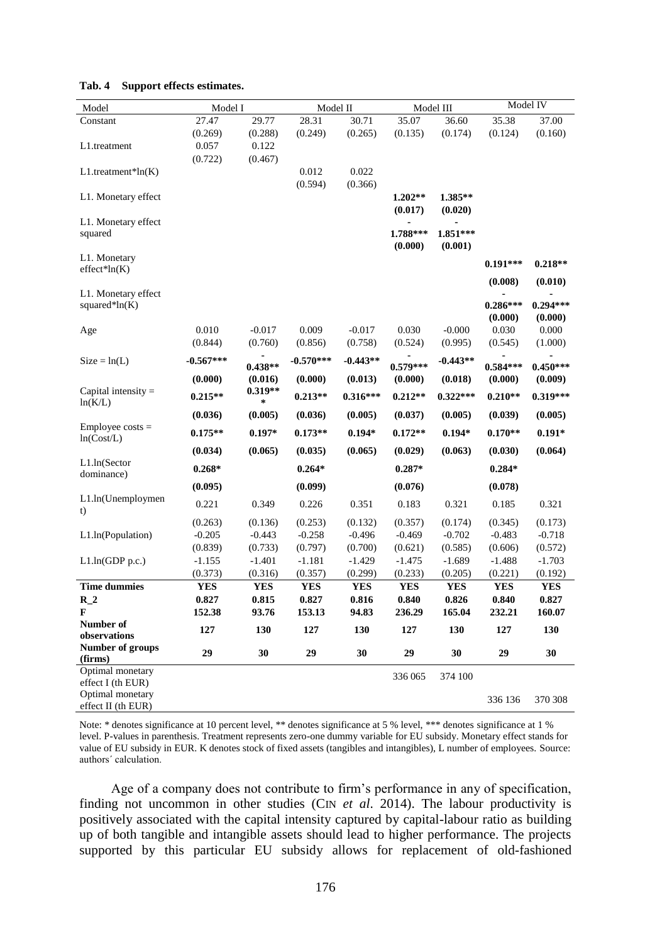| Model                            | Model I     |            | Model II    |            | Model III  |            | Model IV   |            |
|----------------------------------|-------------|------------|-------------|------------|------------|------------|------------|------------|
| Constant                         | 27.47       | 29.77      | 28.31       | 30.71      | 35.07      | 36.60      | 35.38      | 37.00      |
|                                  | (0.269)     | (0.288)    | (0.249)     | (0.265)    | (0.135)    | (0.174)    | (0.124)    | (0.160)    |
| L1.treatment                     | 0.057       | 0.122      |             |            |            |            |            |            |
|                                  | (0.722)     | (0.467)    |             |            |            |            |            |            |
| $L1$ .treatment*ln $(K)$         |             |            | 0.012       | 0.022      |            |            |            |            |
|                                  |             |            | (0.594)     | (0.366)    |            |            |            |            |
| L1. Monetary effect              |             |            |             |            | $1.202**$  | 1.385**    |            |            |
|                                  |             |            |             |            | (0.017)    | (0.020)    |            |            |
| L1. Monetary effect              |             |            |             |            |            |            |            |            |
| squared                          |             |            |             |            | 1.788***   | 1.851***   |            |            |
|                                  |             |            |             |            | (0.000)    | (0.001)    |            |            |
| L1. Monetary                     |             |            |             |            |            |            |            |            |
| $effect*ln(K)$                   |             |            |             |            |            |            | $0.191***$ | $0.218**$  |
|                                  |             |            |             |            |            |            | (0.008)    | (0.010)    |
| L1. Monetary effect              |             |            |             |            |            |            |            |            |
| squared* $ln(K)$                 |             |            |             |            |            |            | $0.286***$ | $0.294***$ |
|                                  |             |            |             |            |            |            | (0.000)    | (0.000)    |
| Age                              | 0.010       | $-0.017$   | 0.009       | $-0.017$   | 0.030      | $-0.000$   | 0.030      | 0.000      |
|                                  | (0.844)     | (0.760)    | (0.856)     | (0.758)    | (0.524)    | (0.995)    | (0.545)    | (1.000)    |
|                                  | $-0.567***$ |            |             |            |            |            |            |            |
| $Size = ln(L)$                   |             | $0.438**$  | $-0.570***$ | $-0.443**$ | $0.579***$ | $-0.443**$ | $0.584***$ | $0.450***$ |
|                                  | (0.000)     | (0.016)    | (0.000)     | (0.013)    | (0.000)    | (0.018)    | (0.000)    | (0.009)    |
| Capital intensity $=$            | $0.215**$   | $0.319**$  | $0.213**$   | $0.316***$ | $0.212**$  | $0.322***$ | $0.210**$  | $0.319***$ |
| ln(K/L)                          |             | *          |             |            |            |            |            |            |
|                                  | (0.036)     | (0.005)    | (0.036)     | (0.005)    | (0.037)    | (0.005)    | (0.039)    | (0.005)    |
| $Employee costs =$<br>ln(Cost/L) | $0.175**$   | $0.197*$   | $0.173**$   | $0.194*$   | $0.172**$  | $0.194*$   | $0.170**$  | $0.191*$   |
|                                  | (0.034)     | (0.065)    | (0.035)     | (0.065)    | (0.029)    | (0.063)    | (0.030)    | (0.064)    |
| $L1.$ ln(Sector                  | $0.268*$    |            | $0.264*$    |            | $0.287*$   |            | $0.284*$   |            |
| dominance)                       | (0.095)     |            | (0.099)     |            | (0.076)    |            | (0.078)    |            |
| L1.ln(Unemploymen                |             |            |             |            |            |            |            |            |
| t)                               | 0.221       | 0.349      | 0.226       | 0.351      | 0.183      | 0.321      | 0.185      | 0.321      |
|                                  | (0.263)     | (0.136)    | (0.253)     | (0.132)    | (0.357)    | (0.174)    | (0.345)    | (0.173)    |
| L1.ln(Population)                | $-0.205$    | $-0.443$   | $-0.258$    | $-0.496$   | $-0.469$   | $-0.702$   | $-0.483$   | $-0.718$   |
|                                  | (0.839)     | (0.733)    | (0.797)     | (0.700)    | (0.621)    | (0.585)    | (0.606)    | (0.572)    |
| L1.ln(GDP p.c.)                  | $-1.155$    | $-1.401$   | $-1.181$    | $-1.429$   | $-1.475$   | $-1.689$   | $-1.488$   | $-1.703$   |
|                                  | (0.373)     | (0.316)    | (0.357)     | (0.299)    | (0.233)    | (0.205)    | (0.221)    | (0.192)    |
| <b>Time dummies</b>              | <b>YES</b>  | <b>YES</b> | <b>YES</b>  | <b>YES</b> | <b>YES</b> | <b>YES</b> | <b>YES</b> | <b>YES</b> |
| $R_2$                            | 0.827       | 0.815      | 0.827       | 0.816      | 0.840      | 0.826      | 0.840      | 0.827      |
| F                                | 152.38      | 93.76      | 153.13      | 94.83      | 236.29     | 165.04     | 232.21     | 160.07     |
| Number of                        |             |            |             |            |            |            |            |            |
| observations                     | 127         | 130        | 127         | 130        | 127        | 130        | 127        | 130        |
| Number of groups                 |             |            |             |            |            |            |            |            |
| (firms)                          | 29          | 30         | 29          | 30         | 29         | 30         | 29         | 30         |
| Optimal monetary                 |             |            |             |            |            |            |            |            |
| effect $I$ (th EUR)              |             |            |             |            | 336 065    | 374 100    |            |            |
| Optimal monetary                 |             |            |             |            |            |            | 336 136    | 370 308    |
| effect II (th EUR)               |             |            |             |            |            |            |            |            |

#### **Tab. 4 Support effects estimates.**

Note: \* denotes significance at 10 percent level, \*\* denotes significance at 5 % level, \*\*\* denotes significance at 1 % level. P-values in parenthesis. Treatment represents zero-one dummy variable for EU subsidy. Monetary effect stands for value of EU subsidy in EUR. K denotes stock of fixed assets (tangibles and intangibles), L number of employees. Source: authors´ calculation.

Age of a company does not contribute to firm's performance in any of specification, finding not uncommon in other studies (CIN *et al*. 2014). The labour productivity is positively associated with the capital intensity captured by capital-labour ratio as building up of both tangible and intangible assets should lead to higher performance. The projects supported by this particular EU subsidy allows for replacement of old-fashioned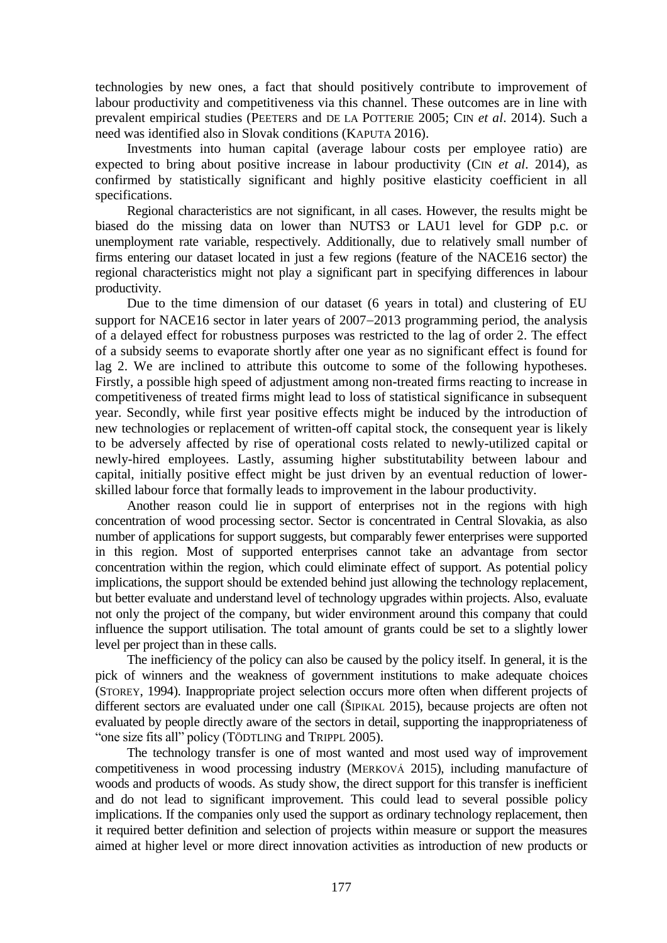technologies by new ones, a fact that should positively contribute to improvement of labour productivity and competitiveness via this channel. These outcomes are in line with prevalent empirical studies (PEETERS and DE LA POTTERIE 2005; CIN *et al*. 2014). Such a need was identified also in Slovak conditions (KAPUTA 2016).

Investments into human capital (average labour costs per employee ratio) are expected to bring about positive increase in labour productivity (CIN *et al*. 2014), as confirmed by statistically significant and highly positive elasticity coefficient in all specifications.

Regional characteristics are not significant, in all cases. However, the results might be biased do the missing data on lower than NUTS3 or LAU1 level for GDP p.c. or unemployment rate variable, respectively. Additionally, due to relatively small number of firms entering our dataset located in just a few regions (feature of the NACE16 sector) the regional characteristics might not play a significant part in specifying differences in labour productivity.

Due to the time dimension of our dataset (6 years in total) and clustering of EU support for NACE16 sector in later years of  $2007-2013$  programming period, the analysis of a delayed effect for robustness purposes was restricted to the lag of order 2. The effect of a subsidy seems to evaporate shortly after one year as no significant effect is found for lag 2. We are inclined to attribute this outcome to some of the following hypotheses. Firstly, a possible high speed of adjustment among non-treated firms reacting to increase in competitiveness of treated firms might lead to loss of statistical significance in subsequent year. Secondly, while first year positive effects might be induced by the introduction of new technologies or replacement of written-off capital stock, the consequent year is likely to be adversely affected by rise of operational costs related to newly-utilized capital or newly-hired employees. Lastly, assuming higher substitutability between labour and capital, initially positive effect might be just driven by an eventual reduction of lowerskilled labour force that formally leads to improvement in the labour productivity.

Another reason could lie in support of enterprises not in the regions with high concentration of wood processing sector. Sector is concentrated in Central Slovakia, as also number of applications for support suggests, but comparably fewer enterprises were supported in this region. Most of supported enterprises cannot take an advantage from sector concentration within the region, which could eliminate effect of support. As potential policy implications, the support should be extended behind just allowing the technology replacement, but better evaluate and understand level of technology upgrades within projects. Also, evaluate not only the project of the company, but wider environment around this company that could influence the support utilisation. The total amount of grants could be set to a slightly lower level per project than in these calls.

The inefficiency of the policy can also be caused by the policy itself. In general, it is the pick of winners and the weakness of government institutions to make adequate choices (STOREY, 1994). Inappropriate project selection occurs more often when different projects of different sectors are evaluated under one call (ŠIPIKAL 2015), because projects are often not evaluated by people directly aware of the sectors in detail, supporting the inappropriateness of "one size fits all" policy (TÖDTLING and TRIPPL 2005).

The technology transfer is one of most wanted and most used way of improvement competitiveness in wood processing industry (MERKOVÁ 2015), including manufacture of woods and products of woods. As study show, the direct support for this transfer is inefficient and do not lead to significant improvement. This could lead to several possible policy implications. If the companies only used the support as ordinary technology replacement, then it required better definition and selection of projects within measure or support the measures aimed at higher level or more direct innovation activities as introduction of new products or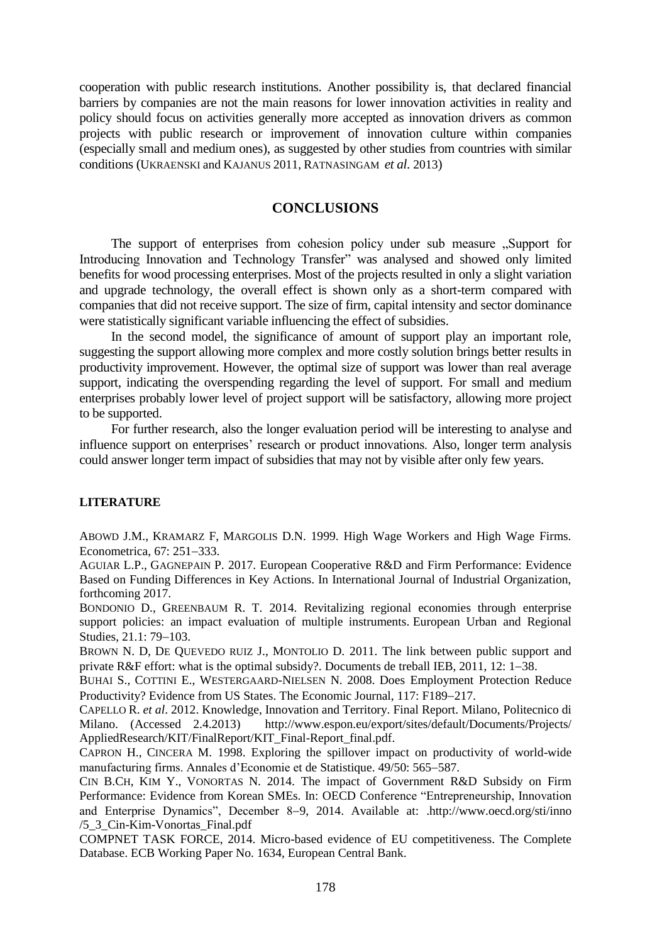cooperation with public research institutions. Another possibility is, that declared financial barriers by companies are not the main reasons for lower innovation activities in reality and policy should focus on activities generally more accepted as innovation drivers as common projects with public research or improvement of innovation culture within companies (especially small and medium ones), as suggested by other studies from countries with similar conditions (UKRAENSKI and KAJANUS 2011, RATNASINGAM *et al.* 2013)

### **CONCLUSIONS**

The support of enterprises from cohesion policy under sub measure .,Support for Introducing Innovation and Technology Transfer" was analysed and showed only limited benefits for wood processing enterprises. Most of the projects resulted in only a slight variation and upgrade technology, the overall effect is shown only as a short-term compared with companies that did not receive support. The size of firm, capital intensity and sector dominance were statistically significant variable influencing the effect of subsidies.

In the second model, the significance of amount of support play an important role, suggesting the support allowing more complex and more costly solution brings better results in productivity improvement. However, the optimal size of support was lower than real average support, indicating the overspending regarding the level of support. For small and medium enterprises probably lower level of project support will be satisfactory, allowing more project to be supported.

For further research, also the longer evaluation period will be interesting to analyse and influence support on enterprises' research or product innovations. Also, longer term analysis could answer longer term impact of subsidies that may not by visible after only few years.

#### **LITERATURE**

ABOWD J.M., KRAMARZ F, MARGOLIS D.N. 1999. High Wage Workers and High Wage Firms. Econometrica,  $67: 251-333$ .

AGUIAR L.P., GAGNEPAIN P. 2017. European Cooperative R&D and Firm Performance: Evidence Based on Funding Differences in Key Actions. In International Journal of Industrial Organization, forthcoming 2017.

BONDONIO D., GREENBAUM R. T. 2014. Revitalizing regional economies through enterprise support policies: an impact evaluation of multiple instruments. European Urban and Regional Studies, 21.1: 79-103.

BROWN N. D, DE QUEVEDO RUIZ J., MONTOLIO D. 2011. The link between public support and private R&F effort: what is the optimal subsidy?. Documents de treball IEB, 2011, 12: 1–38.

BUHAI S., COTTINI E., WESTERGAARD-NIELSEN N. 2008. Does Employment Protection Reduce Productivity? Evidence from US States. The Economic Journal, 117: F189-217.

CAPELLO R. *et al*. 2012. Knowledge, Innovation and Territory. Final Report. Milano, Politecnico di Milano. (Accessed 2.4.2013) http://www.espon.eu/export/sites/default/Documents/Projects/ AppliedResearch/KIT/FinalReport/KIT\_Final-Report\_final.pdf.

CAPRON H., CINCERA M. 1998. Exploring the spillover impact on productivity of world-wide manufacturing firms. Annales d'Economie et de Statistique. 49/50: 565–587.

CIN B.CH, KIM Y., VONORTAS N. 2014. The impact of Government R&D Subsidy on Firm Performance: Evidence from Korean SMEs. In: OECD Conference "Entrepreneurship, Innovation and Enterprise Dynamics", December 8-9, 2014. Available at: .http://www.oecd.org/sti/inno /5\_3\_Cin-Kim-Vonortas\_Final.pdf

COMPNET TASK FORCE, 2014. Micro-based evidence of EU competitiveness. The Complete Database. ECB Working Paper No. 1634, European Central Bank.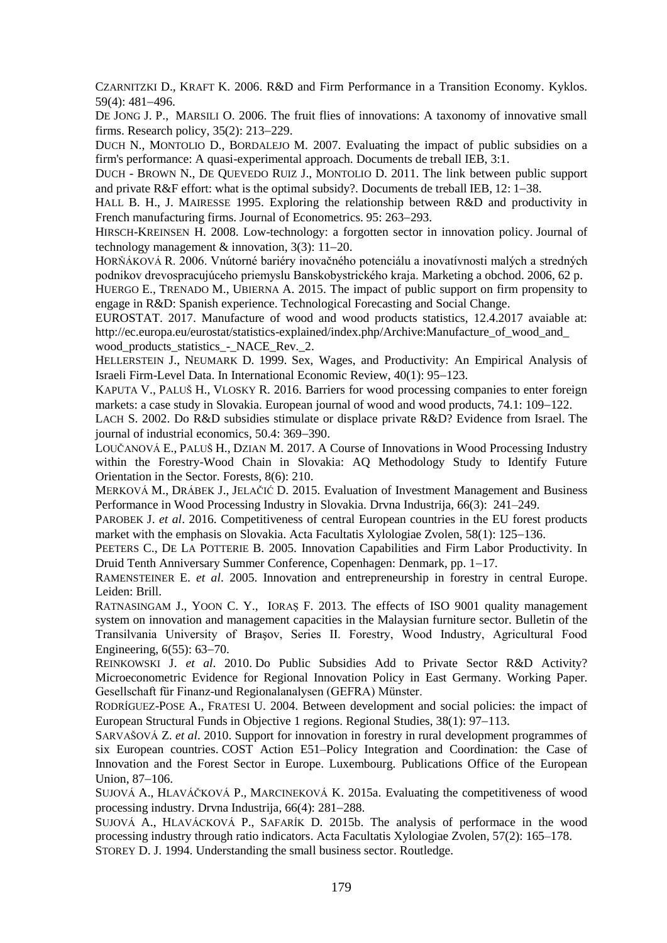CZARNITZKI D., KRAFT K. 2006. R&D and Firm Performance in a Transition Economy. Kyklos. 59(4): 481-496.

DE JONG J. P., MARSILI O. 2006. The fruit flies of innovations: A taxonomy of innovative small firms. Research policy,  $35(2)$ :  $213-229$ .

DUCH N., MONTOLIO D., BORDALEJO M. 2007. Evaluating the impact of public subsidies on a firm's performance: A quasi-experimental approach. Documents de treball IEB, 3:1.

DUCH - BROWN N., DE QUEVEDO RUIZ J., MONTOLIO D. 2011. The link between public support and private  $R&F$  effort: what is the optimal subsidy?. Documents de treball IEB, 12: 1–38.

HALL B. H., J. MAIRESSE 1995. Exploring the relationship between R&D and productivity in French manufacturing firms. Journal of Econometrics. 95: 263–293.

HIRSCH-KREINSEN H. 2008. Low-technology: a forgotten sector in innovation policy. Journal of technology management  $&$  innovation, 3(3): 11–20.

HORŇÁKOVÁ R. 2006. Vnútorné bariéry inovačného potenciálu a inovatívnosti malých a stredných podnikov drevospracujúceho priemyslu Banskobystrického kraja. Marketing a obchod. 2006, 62 p.

HUERGO E., TRENADO M., UBIERNA A. 2015. The impact of public support on firm propensity to engage in R&D: Spanish experience. Technological Forecasting and Social Change.

EUROSTAT. 2017. Manufacture of wood and wood products statistics, 12.4.2017 avaiable at: http://ec.europa.eu/eurostat/statistics-explained/index.php/Archive:Manufacture\_of\_wood\_and\_ wood\_products\_statistics\_-\_NACE\_Rev.\_2.

HELLERSTEIN J., NEUMARK D. 1999. Sex, Wages, and Productivity: An Empirical Analysis of Israeli Firm-Level Data. In International Economic Review, 40(1): 95–123.

KAPUTA V., PALUŠ H., VLOSKY R. 2016. Barriers for wood processing companies to enter foreign markets: a case study in Slovakia. European journal of wood and wood products, 74.1: 109–122.

LACH S. 2002. Do R&D subsidies stimulate or displace private R&D? Evidence from Israel. The journal of industrial economics, 50.4: 369–390.

LOUČANOVÁ E., PALUŠ H., DZIAN M. 2017. A Course of Innovations in Wood Processing Industry within the Forestry-Wood Chain in Slovakia: AQ Methodology Study to Identify Future Orientation in the Sector. Forests, 8(6): 210.

MERKOVÁ M., DRÁBEK J., JELAČIĆ D. 2015. Evaluation of Investment Management and Business Performance in Wood Processing Industry in Slovakia. Drvna Industrija, 66(3): 241–249.

PAROBEK J. *et al.* 2016. Competitiveness of central European countries in the EU forest products market with the emphasis on Slovakia. Acta Facultatis Xylologiae Zvolen,  $58(1)$ :  $125-136$ .

PEETERS C., DE LA POTTERIE B. 2005. Innovation Capabilities and Firm Labor Productivity. In Druid Tenth Anniversary Summer Conference, Copenhagen: Denmark, pp. 1–17.

RAMENSTEINER E. *et al*. 2005. Innovation and entrepreneurship in forestry in central Europe. Leiden: Brill.

RATNASINGAM J., YOON C. Y., IORAŞ F. 2013. The effects of ISO 9001 quality management system on innovation and management capacities in the Malaysian furniture sector. Bulletin of the Transilvania University of Braşov, Series II. Forestry, Wood Industry, Agricultural Food Engineering,  $6(55)$ :  $63-70$ .

REINKOWSKI J. *et al*. 2010. Do Public Subsidies Add to Private Sector R&D Activity? Microeconometric Evidence for Regional Innovation Policy in East Germany. Working Paper. Gesellschaft für Finanz-und Regionalanalysen (GEFRA) Münster.

RODRÍGUEZ-POSE A., FRATESI U. 2004. Between development and social policies: the impact of European Structural Funds in Objective 1 regions. Regional Studies, 38(1): 97–113.

SARVAŠOVÁ Z. *et al*. 2010. Support for innovation in forestry in rural development programmes of six European countries. COST Action E51–Policy Integration and Coordination: the Case of Innovation and the Forest Sector in Europe. Luxembourg. Publications Office of the European Union, 87-106.

SUJOVÁ A., HLAVÁČKOVÁ P., MARCINEKOVÁ K. 2015a. Evaluating the competitiveness of wood processing industry. Drvna Industrija,  $66(4)$ : 281–288.

SUJOVÁ A., HLAVÁCKOVÁ P., SAFARÍK D. 2015b. The analysis of performace in the wood processing industry through ratio indicators. Acta Facultatis Xylologiae Zvolen, 57(2): 165–178. STOREY D. J. 1994. Understanding the small business sector. Routledge.